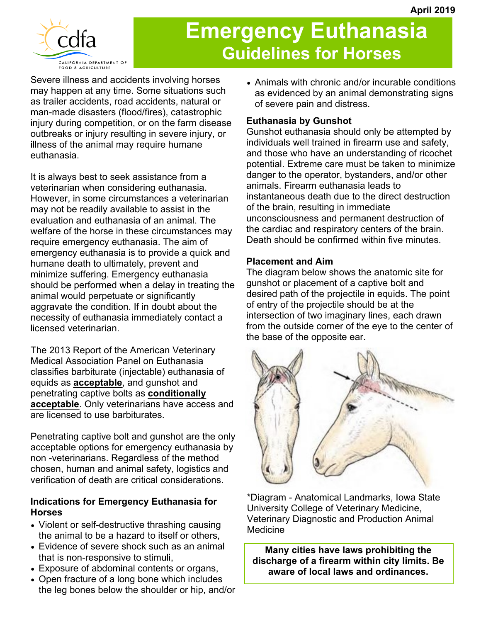

# **Emergency Euthanasia Guidelines for Horses**

Severe illness and accidents involving horses may happen at any time. Some situations such as trailer accidents, road accidents, natural or man-made disasters (flood/fires), catastrophic injury during competition, or on the farm disease outbreaks or injury resulting in severe injury, or illness of the animal may require humane euthanasia.

It is always best to seek assistance from a veterinarian when considering euthanasia. However, in some circumstances a veterinarian may not be readily available to assist in the evaluation and euthanasia of an animal. The welfare of the horse in these circumstances may require emergency euthanasia. The aim of emergency euthanasia is to provide a quick and humane death to ultimately, prevent and minimize suffering. Emergency euthanasia should be performed when a delay in treating the animal would perpetuate or significantly aggravate the condition. If in doubt about the necessity of euthanasia immediately contact a licensed veterinarian.

The 2013 Report of the American Veterinary Medical Association Panel on Euthanasia classifies barbiturate (injectable) euthanasia of equids as **acceptable**, and gunshot and penetrating captive bolts as **conditionally acceptable**. Only veterinarians have access and are licensed to use barbiturates.

Penetrating captive bolt and gunshot are the only acceptable options for emergency euthanasia by non -veterinarians. Regardless of the method chosen, human and animal safety, logistics and verification of death are critical considerations.

## **Indications for Emergency Euthanasia for Horses**

- Violent or self-destructive thrashing causing the animal to be a hazard to itself or others,
- Evidence of severe shock such as an animal that is non-responsive to stimuli,
- Exposure of abdominal contents or organs,
- Open fracture of a long bone which includes the leg bones below the shoulder or hip, and/or

 Animals with chronic and/or incurable conditions as evidenced by an animal demonstrating signs of severe pain and distress.

# **Euthanasia by Gunshot**

Gunshot euthanasia should only be attempted by individuals well trained in firearm use and safety, and those who have an understanding of ricochet potential. Extreme care must be taken to minimize danger to the operator, bystanders, and/or other animals. Firearm euthanasia leads to instantaneous death due to the direct destruction of the brain, resulting in immediate unconsciousness and permanent destruction of the cardiac and respiratory centers of the brain. Death should be confirmed within five minutes.

## **Placement and Aim**

The diagram below shows the anatomic site for gunshot or placement of a captive bolt and desired path of the projectile in equids. The point of entry of the projectile should be at the intersection of two imaginary lines, each drawn from the outside corner of the eye to the center of the base of the opposite ear.



\*Diagram - Anatomical Landmarks, Iowa State University College of Veterinary Medicine, Veterinary Diagnostic and Production Animal **Medicine** 

**Many cities have laws prohibiting the discharge of a firearm within city limits. Be aware of local laws and ordinances.**